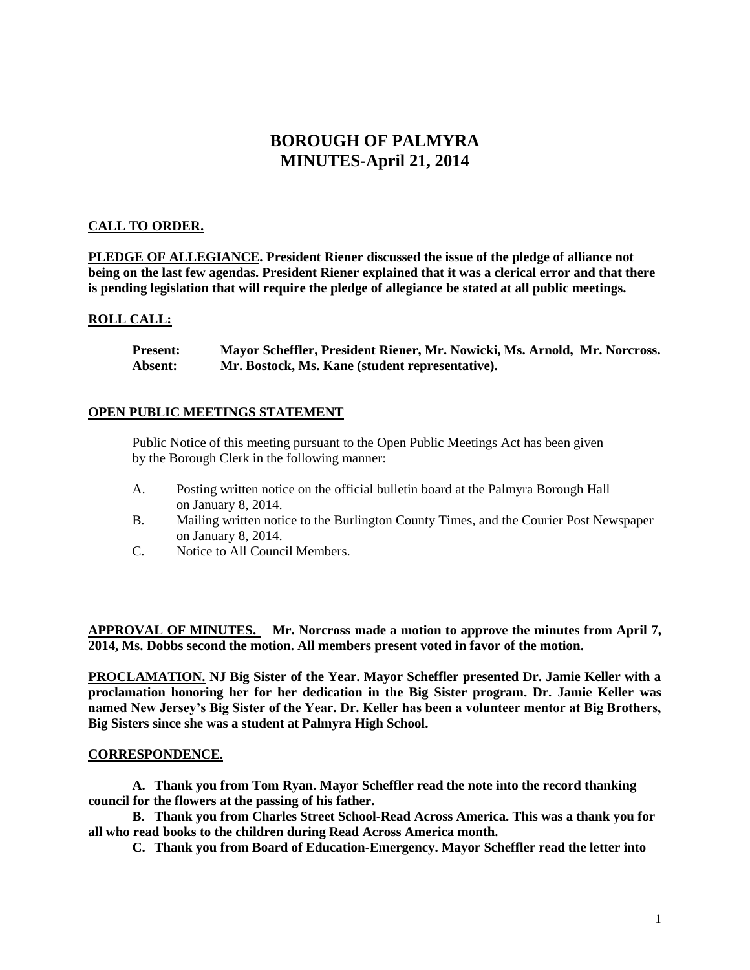# **BOROUGH OF PALMYRA MINUTES-April 21, 2014**

# **CALL TO ORDER.**

**PLEDGE OF ALLEGIANCE. President Riener discussed the issue of the pledge of alliance not being on the last few agendas. President Riener explained that it was a clerical error and that there is pending legislation that will require the pledge of allegiance be stated at all public meetings.** 

### **ROLL CALL:**

**Present: Mayor Scheffler, President Riener, Mr. Nowicki, Ms. Arnold, Mr. Norcross. Absent: Mr. Bostock, Ms. Kane (student representative).**

#### **OPEN PUBLIC MEETINGS STATEMENT**

Public Notice of this meeting pursuant to the Open Public Meetings Act has been given by the Borough Clerk in the following manner:

- A. Posting written notice on the official bulletin board at the Palmyra Borough Hall on January 8, 2014.
- B. Mailing written notice to the Burlington County Times, and the Courier Post Newspaper on January 8, 2014.
- C. Notice to All Council Members.

**APPROVAL OF MINUTES. Mr. Norcross made a motion to approve the minutes from April 7, 2014, Ms. Dobbs second the motion. All members present voted in favor of the motion.** 

**PROCLAMATION. NJ Big Sister of the Year. Mayor Scheffler presented Dr. Jamie Keller with a proclamation honoring her for her dedication in the Big Sister program. Dr. Jamie Keller was named New Jersey's Big Sister of the Year. Dr. Keller has been a volunteer mentor at Big Brothers, Big Sisters since she was a student at Palmyra High School.** 

#### **CORRESPONDENCE.**

**A. Thank you from Tom Ryan. Mayor Scheffler read the note into the record thanking council for the flowers at the passing of his father.** 

**B. Thank you from Charles Street School-Read Across America. This was a thank you for all who read books to the children during Read Across America month.** 

**C. Thank you from Board of Education-Emergency. Mayor Scheffler read the letter into**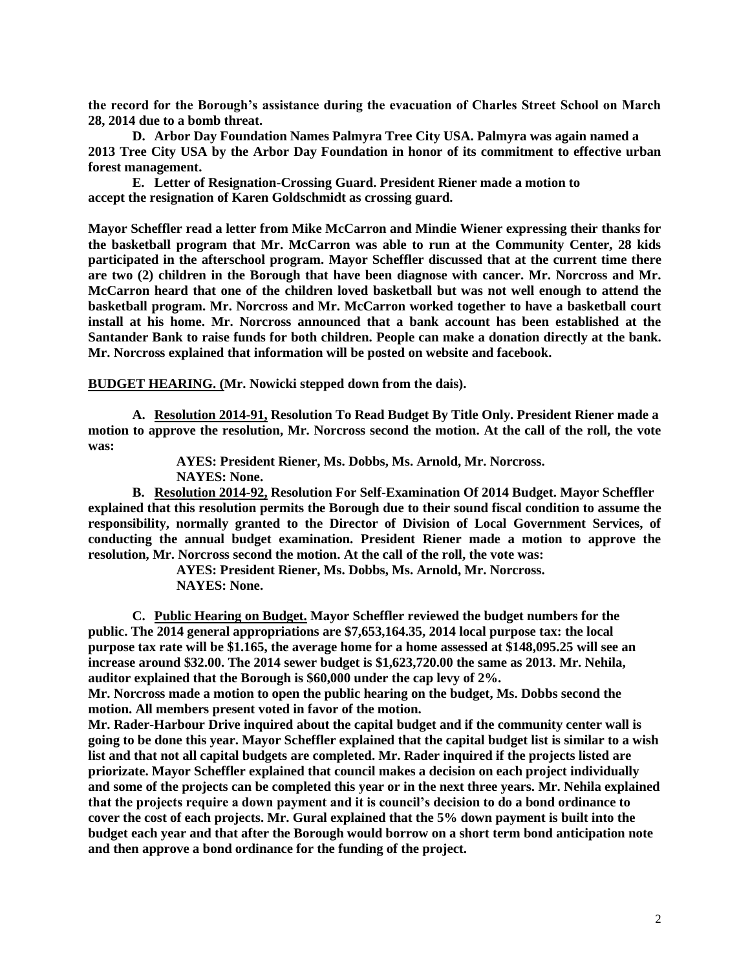**the record for the Borough's assistance during the evacuation of Charles Street School on March 28, 2014 due to a bomb threat.** 

**D. Arbor Day Foundation Names Palmyra Tree City USA. Palmyra was again named a 2013 Tree City USA by the Arbor Day Foundation in honor of its commitment to effective urban forest management.**

**E. Letter of Resignation-Crossing Guard. President Riener made a motion to accept the resignation of Karen Goldschmidt as crossing guard.**

**Mayor Scheffler read a letter from Mike McCarron and Mindie Wiener expressing their thanks for the basketball program that Mr. McCarron was able to run at the Community Center, 28 kids participated in the afterschool program. Mayor Scheffler discussed that at the current time there are two (2) children in the Borough that have been diagnose with cancer. Mr. Norcross and Mr. McCarron heard that one of the children loved basketball but was not well enough to attend the basketball program. Mr. Norcross and Mr. McCarron worked together to have a basketball court install at his home. Mr. Norcross announced that a bank account has been established at the Santander Bank to raise funds for both children. People can make a donation directly at the bank. Mr. Norcross explained that information will be posted on website and facebook.**

**BUDGET HEARING. (Mr. Nowicki stepped down from the dais).**

**A. Resolution 2014-91, Resolution To Read Budget By Title Only. President Riener made a motion to approve the resolution, Mr. Norcross second the motion. At the call of the roll, the vote was:**

> **AYES: President Riener, Ms. Dobbs, Ms. Arnold, Mr. Norcross. NAYES: None.**

**B. Resolution 2014-92, Resolution For Self-Examination Of 2014 Budget. Mayor Scheffler explained that this resolution permits the Borough due to their sound fiscal condition to assume the responsibility, normally granted to the Director of Division of Local Government Services, of conducting the annual budget examination. President Riener made a motion to approve the resolution, Mr. Norcross second the motion. At the call of the roll, the vote was:**

> **AYES: President Riener, Ms. Dobbs, Ms. Arnold, Mr. Norcross. NAYES: None.**

**C. Public Hearing on Budget. Mayor Scheffler reviewed the budget numbers for the public. The 2014 general appropriations are \$7,653,164.35, 2014 local purpose tax: the local purpose tax rate will be \$1.165, the average home for a home assessed at \$148,095.25 will see an increase around \$32.00. The 2014 sewer budget is \$1,623,720.00 the same as 2013. Mr. Nehila, auditor explained that the Borough is \$60,000 under the cap levy of 2%.** 

**Mr. Norcross made a motion to open the public hearing on the budget, Ms. Dobbs second the motion. All members present voted in favor of the motion.**

**Mr. Rader-Harbour Drive inquired about the capital budget and if the community center wall is going to be done this year. Mayor Scheffler explained that the capital budget list is similar to a wish list and that not all capital budgets are completed. Mr. Rader inquired if the projects listed are priorizate. Mayor Scheffler explained that council makes a decision on each project individually and some of the projects can be completed this year or in the next three years. Mr. Nehila explained that the projects require a down payment and it is council's decision to do a bond ordinance to cover the cost of each projects. Mr. Gural explained that the 5% down payment is built into the budget each year and that after the Borough would borrow on a short term bond anticipation note and then approve a bond ordinance for the funding of the project.**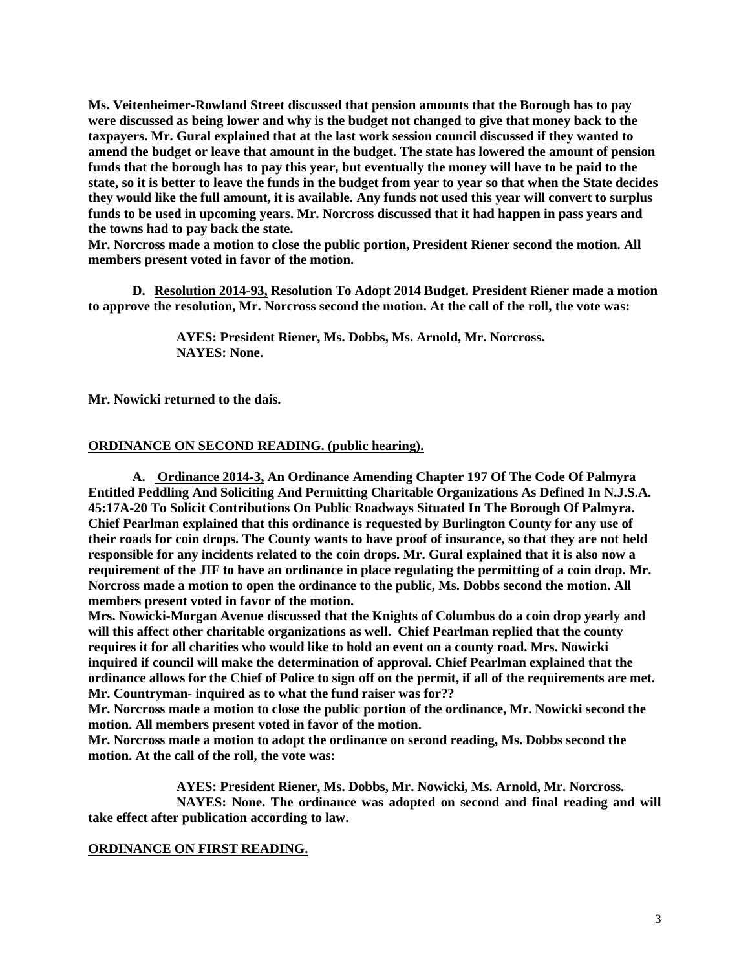**Ms. Veitenheimer-Rowland Street discussed that pension amounts that the Borough has to pay were discussed as being lower and why is the budget not changed to give that money back to the taxpayers. Mr. Gural explained that at the last work session council discussed if they wanted to amend the budget or leave that amount in the budget. The state has lowered the amount of pension funds that the borough has to pay this year, but eventually the money will have to be paid to the state, so it is better to leave the funds in the budget from year to year so that when the State decides they would like the full amount, it is available. Any funds not used this year will convert to surplus funds to be used in upcoming years. Mr. Norcross discussed that it had happen in pass years and the towns had to pay back the state.** 

**Mr. Norcross made a motion to close the public portion, President Riener second the motion. All members present voted in favor of the motion.** 

**D. Resolution 2014-93, Resolution To Adopt 2014 Budget. President Riener made a motion to approve the resolution, Mr. Norcross second the motion. At the call of the roll, the vote was:**

> **AYES: President Riener, Ms. Dobbs, Ms. Arnold, Mr. Norcross. NAYES: None.**

**Mr. Nowicki returned to the dais.**

#### **ORDINANCE ON SECOND READING. (public hearing).**

**A. Ordinance 2014-3, An Ordinance Amending Chapter 197 Of The Code Of Palmyra Entitled Peddling And Soliciting And Permitting Charitable Organizations As Defined In N.J.S.A. 45:17A-20 To Solicit Contributions On Public Roadways Situated In The Borough Of Palmyra. Chief Pearlman explained that this ordinance is requested by Burlington County for any use of their roads for coin drops. The County wants to have proof of insurance, so that they are not held responsible for any incidents related to the coin drops. Mr. Gural explained that it is also now a requirement of the JIF to have an ordinance in place regulating the permitting of a coin drop. Mr. Norcross made a motion to open the ordinance to the public, Ms. Dobbs second the motion. All members present voted in favor of the motion.** 

**Mrs. Nowicki-Morgan Avenue discussed that the Knights of Columbus do a coin drop yearly and will this affect other charitable organizations as well. Chief Pearlman replied that the county requires it for all charities who would like to hold an event on a county road. Mrs. Nowicki inquired if council will make the determination of approval. Chief Pearlman explained that the ordinance allows for the Chief of Police to sign off on the permit, if all of the requirements are met. Mr. Countryman- inquired as to what the fund raiser was for??**

**Mr. Norcross made a motion to close the public portion of the ordinance, Mr. Nowicki second the motion. All members present voted in favor of the motion.**

**Mr. Norcross made a motion to adopt the ordinance on second reading, Ms. Dobbs second the motion. At the call of the roll, the vote was:**

**AYES: President Riener, Ms. Dobbs, Mr. Nowicki, Ms. Arnold, Mr. Norcross. NAYES: None. The ordinance was adopted on second and final reading and will take effect after publication according to law.**

## **ORDINANCE ON FIRST READING.**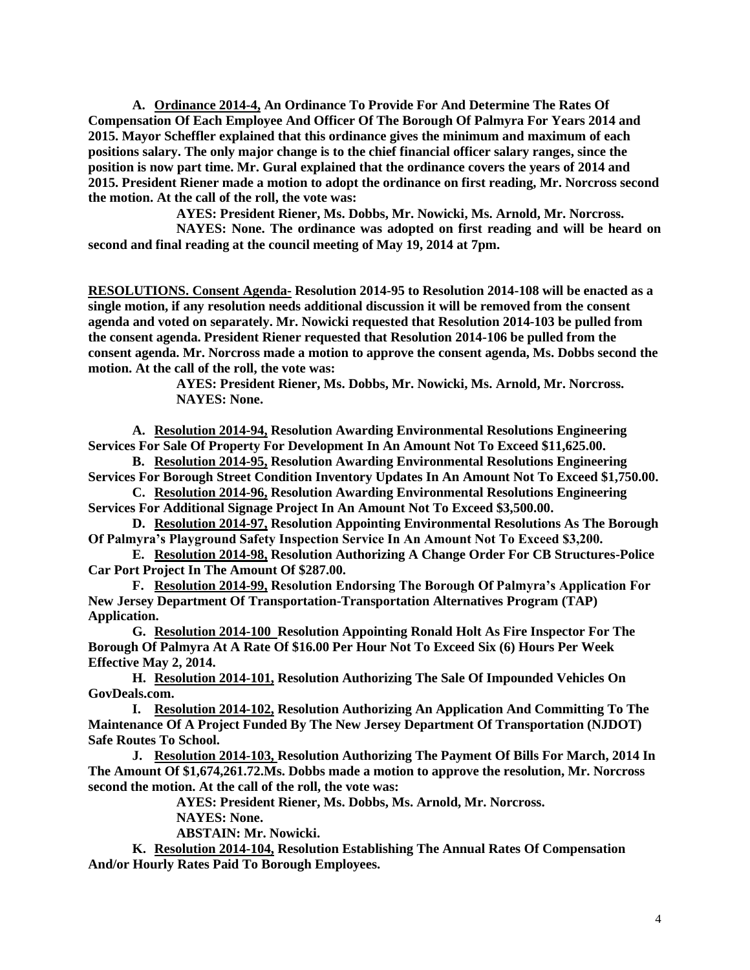**A. Ordinance 2014-4, An Ordinance To Provide For And Determine The Rates Of Compensation Of Each Employee And Officer Of The Borough Of Palmyra For Years 2014 and 2015. Mayor Scheffler explained that this ordinance gives the minimum and maximum of each positions salary. The only major change is to the chief financial officer salary ranges, since the position is now part time. Mr. Gural explained that the ordinance covers the years of 2014 and 2015. President Riener made a motion to adopt the ordinance on first reading, Mr. Norcross second the motion. At the call of the roll, the vote was:**

**AYES: President Riener, Ms. Dobbs, Mr. Nowicki, Ms. Arnold, Mr. Norcross.**

**NAYES: None. The ordinance was adopted on first reading and will be heard on second and final reading at the council meeting of May 19, 2014 at 7pm.** 

**RESOLUTIONS. Consent Agenda- Resolution 2014-95 to Resolution 2014-108 will be enacted as a single motion, if any resolution needs additional discussion it will be removed from the consent agenda and voted on separately. Mr. Nowicki requested that Resolution 2014-103 be pulled from the consent agenda. President Riener requested that Resolution 2014-106 be pulled from the consent agenda. Mr. Norcross made a motion to approve the consent agenda, Ms. Dobbs second the motion. At the call of the roll, the vote was:**

> **AYES: President Riener, Ms. Dobbs, Mr. Nowicki, Ms. Arnold, Mr. Norcross. NAYES: None.**

**A. Resolution 2014-94, Resolution Awarding Environmental Resolutions Engineering Services For Sale Of Property For Development In An Amount Not To Exceed \$11,625.00.**

**B. Resolution 2014-95, Resolution Awarding Environmental Resolutions Engineering Services For Borough Street Condition Inventory Updates In An Amount Not To Exceed \$1,750.00.**

**C. Resolution 2014-96, Resolution Awarding Environmental Resolutions Engineering Services For Additional Signage Project In An Amount Not To Exceed \$3,500.00.**

**D. Resolution 2014-97, Resolution Appointing Environmental Resolutions As The Borough Of Palmyra's Playground Safety Inspection Service In An Amount Not To Exceed \$3,200.**

**E. Resolution 2014-98, Resolution Authorizing A Change Order For CB Structures-Police Car Port Project In The Amount Of \$287.00.**

**F. Resolution 2014-99, Resolution Endorsing The Borough Of Palmyra's Application For New Jersey Department Of Transportation-Transportation Alternatives Program (TAP) Application.**

**G. Resolution 2014-100 Resolution Appointing Ronald Holt As Fire Inspector For The Borough Of Palmyra At A Rate Of \$16.00 Per Hour Not To Exceed Six (6) Hours Per Week Effective May 2, 2014.**

**H. Resolution 2014-101, Resolution Authorizing The Sale Of Impounded Vehicles On GovDeals.com.**

**I. Resolution 2014-102, Resolution Authorizing An Application And Committing To The Maintenance Of A Project Funded By The New Jersey Department Of Transportation (NJDOT) Safe Routes To School.** 

**J. Resolution 2014-103, Resolution Authorizing The Payment Of Bills For March, 2014 In The Amount Of \$1,674,261.72.Ms. Dobbs made a motion to approve the resolution, Mr. Norcross second the motion. At the call of the roll, the vote was:**

**AYES: President Riener, Ms. Dobbs, Ms. Arnold, Mr. Norcross.**

**NAYES: None.**

**ABSTAIN: Mr. Nowicki.**

**K. Resolution 2014-104, Resolution Establishing The Annual Rates Of Compensation And/or Hourly Rates Paid To Borough Employees.**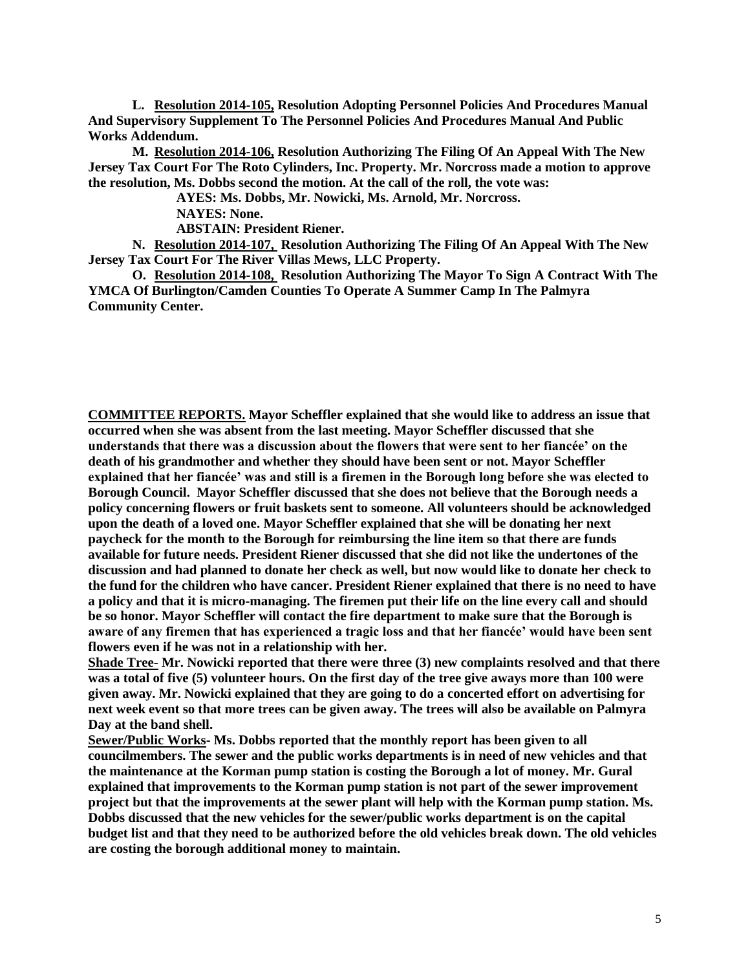**L. Resolution 2014-105, Resolution Adopting Personnel Policies And Procedures Manual And Supervisory Supplement To The Personnel Policies And Procedures Manual And Public Works Addendum.**

**M. Resolution 2014-106, Resolution Authorizing The Filing Of An Appeal With The New Jersey Tax Court For The Roto Cylinders, Inc. Property. Mr. Norcross made a motion to approve the resolution, Ms. Dobbs second the motion. At the call of the roll, the vote was:**

**AYES: Ms. Dobbs, Mr. Nowicki, Ms. Arnold, Mr. Norcross.**

**NAYES: None.** 

**ABSTAIN: President Riener.** 

**N. Resolution 2014-107, Resolution Authorizing The Filing Of An Appeal With The New Jersey Tax Court For The River Villas Mews, LLC Property.**

**O. Resolution 2014-108, Resolution Authorizing The Mayor To Sign A Contract With The YMCA Of Burlington/Camden Counties To Operate A Summer Camp In The Palmyra Community Center.**

**COMMITTEE REPORTS. Mayor Scheffler explained that she would like to address an issue that occurred when she was absent from the last meeting. Mayor Scheffler discussed that she understands that there was a discussion about the flowers that were sent to her fiancée' on the death of his grandmother and whether they should have been sent or not. Mayor Scheffler explained that her fiancée' was and still is a firemen in the Borough long before she was elected to Borough Council. Mayor Scheffler discussed that she does not believe that the Borough needs a policy concerning flowers or fruit baskets sent to someone. All volunteers should be acknowledged upon the death of a loved one. Mayor Scheffler explained that she will be donating her next paycheck for the month to the Borough for reimbursing the line item so that there are funds available for future needs. President Riener discussed that she did not like the undertones of the discussion and had planned to donate her check as well, but now would like to donate her check to the fund for the children who have cancer. President Riener explained that there is no need to have a policy and that it is micro-managing. The firemen put their life on the line every call and should be so honor. Mayor Scheffler will contact the fire department to make sure that the Borough is aware of any firemen that has experienced a tragic loss and that her fiancée' would have been sent flowers even if he was not in a relationship with her.** 

**Shade Tree- Mr. Nowicki reported that there were three (3) new complaints resolved and that there was a total of five (5) volunteer hours. On the first day of the tree give aways more than 100 were given away. Mr. Nowicki explained that they are going to do a concerted effort on advertising for next week event so that more trees can be given away. The trees will also be available on Palmyra Day at the band shell.** 

**Sewer/Public Works- Ms. Dobbs reported that the monthly report has been given to all councilmembers. The sewer and the public works departments is in need of new vehicles and that the maintenance at the Korman pump station is costing the Borough a lot of money. Mr. Gural explained that improvements to the Korman pump station is not part of the sewer improvement project but that the improvements at the sewer plant will help with the Korman pump station. Ms. Dobbs discussed that the new vehicles for the sewer/public works department is on the capital budget list and that they need to be authorized before the old vehicles break down. The old vehicles are costing the borough additional money to maintain.**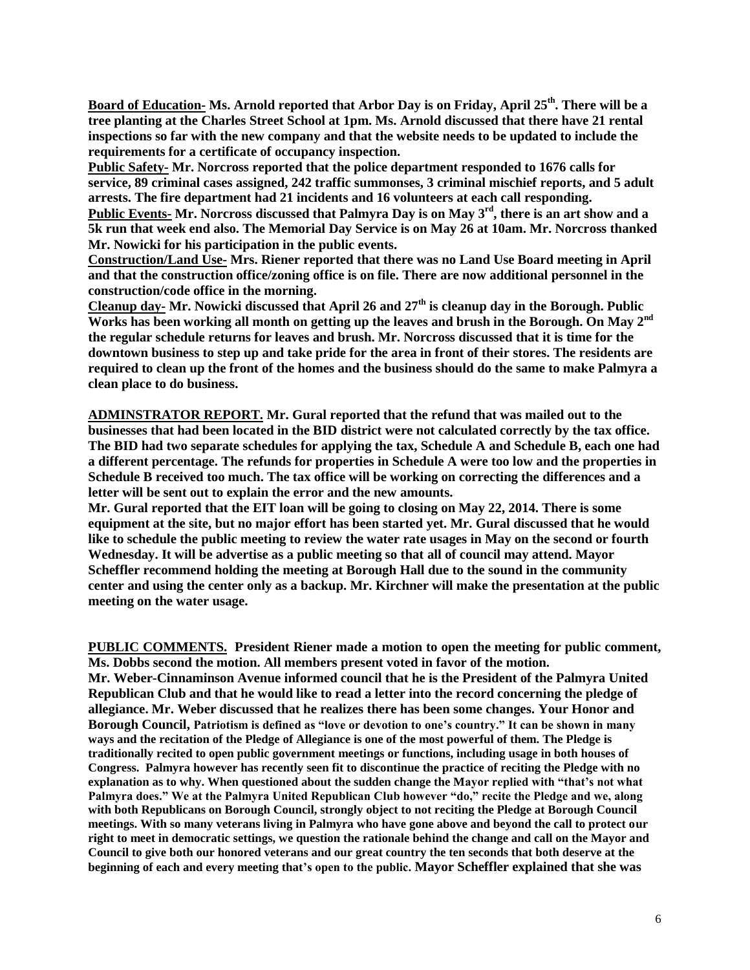**Board of Education- Ms. Arnold reported that Arbor Day is on Friday, April 25th. There will be a tree planting at the Charles Street School at 1pm. Ms. Arnold discussed that there have 21 rental inspections so far with the new company and that the website needs to be updated to include the requirements for a certificate of occupancy inspection.** 

**Public Safety- Mr. Norcross reported that the police department responded to 1676 calls for service, 89 criminal cases assigned, 242 traffic summonses, 3 criminal mischief reports, and 5 adult arrests. The fire department had 21 incidents and 16 volunteers at each call responding. Public Events- Mr. Norcross discussed that Palmyra Day is on May 3rd, there is an art show and a 5k run that week end also. The Memorial Day Service is on May 26 at 10am. Mr. Norcross thanked Mr. Nowicki for his participation in the public events.**

**Construction/Land Use- Mrs. Riener reported that there was no Land Use Board meeting in April and that the construction office/zoning office is on file. There are now additional personnel in the construction/code office in the morning.** 

**Cleanup day- Mr. Nowicki discussed that April 26 and 27th is cleanup day in the Borough. Public Works has been working all month on getting up the leaves and brush in the Borough. On May 2nd the regular schedule returns for leaves and brush. Mr. Norcross discussed that it is time for the downtown business to step up and take pride for the area in front of their stores. The residents are required to clean up the front of the homes and the business should do the same to make Palmyra a clean place to do business.** 

**ADMINSTRATOR REPORT. Mr. Gural reported that the refund that was mailed out to the businesses that had been located in the BID district were not calculated correctly by the tax office. The BID had two separate schedules for applying the tax, Schedule A and Schedule B, each one had a different percentage. The refunds for properties in Schedule A were too low and the properties in Schedule B received too much. The tax office will be working on correcting the differences and a letter will be sent out to explain the error and the new amounts.** 

**Mr. Gural reported that the EIT loan will be going to closing on May 22, 2014. There is some equipment at the site, but no major effort has been started yet. Mr. Gural discussed that he would like to schedule the public meeting to review the water rate usages in May on the second or fourth Wednesday. It will be advertise as a public meeting so that all of council may attend. Mayor Scheffler recommend holding the meeting at Borough Hall due to the sound in the community center and using the center only as a backup. Mr. Kirchner will make the presentation at the public meeting on the water usage.** 

**PUBLIC COMMENTS. President Riener made a motion to open the meeting for public comment, Ms. Dobbs second the motion. All members present voted in favor of the motion. Mr. Weber-Cinnaminson Avenue informed council that he is the President of the Palmyra United Republican Club and that he would like to read a letter into the record concerning the pledge of allegiance. Mr. Weber discussed that he realizes there has been some changes. Your Honor and Borough Council, Patriotism is defined as "love or devotion to one's country." It can be shown in many ways and the recitation of the Pledge of Allegiance is one of the most powerful of them. The Pledge is traditionally recited to open public government meetings or functions, including usage in both houses of Congress. Palmyra however has recently seen fit to discontinue the practice of reciting the Pledge with no explanation as to why. When questioned about the sudden change the Mayor replied with "that's not what Palmyra does." We at the Palmyra United Republican Club however "do," recite the Pledge and we, along with both Republicans on Borough Council, strongly object to not reciting the Pledge at Borough Council meetings. With so many veterans living in Palmyra who have gone above and beyond the call to protect our right to meet in democratic settings, we question the rationale behind the change and call on the Mayor and Council to give both our honored veterans and our great country the ten seconds that both deserve at the beginning of each and every meeting that's open to the public. Mayor Scheffler explained that she was**